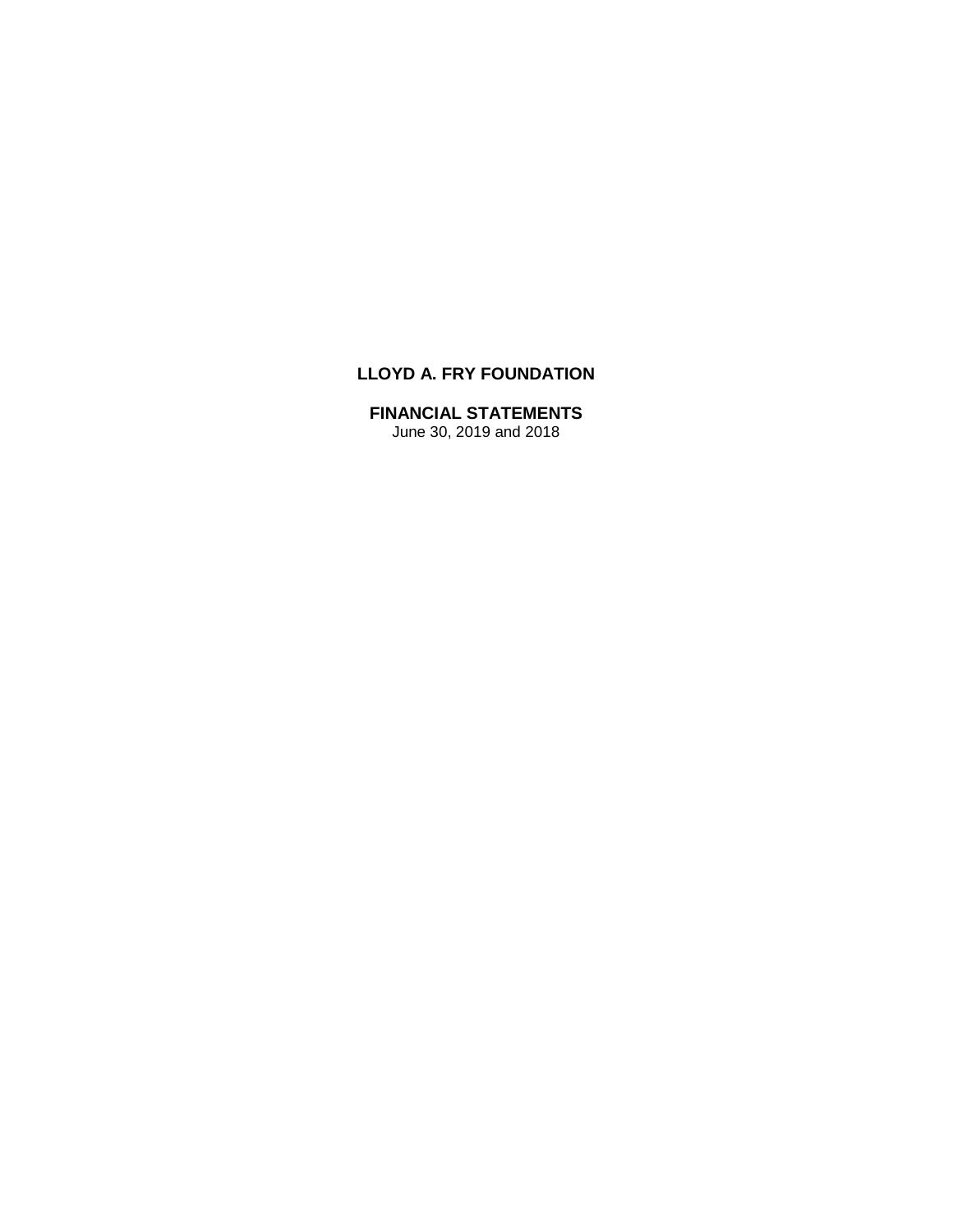# **LLOYD A. FRY FOUNDATION**

# **FINANCIAL STATEMENTS**

June 30, 2019 and 2018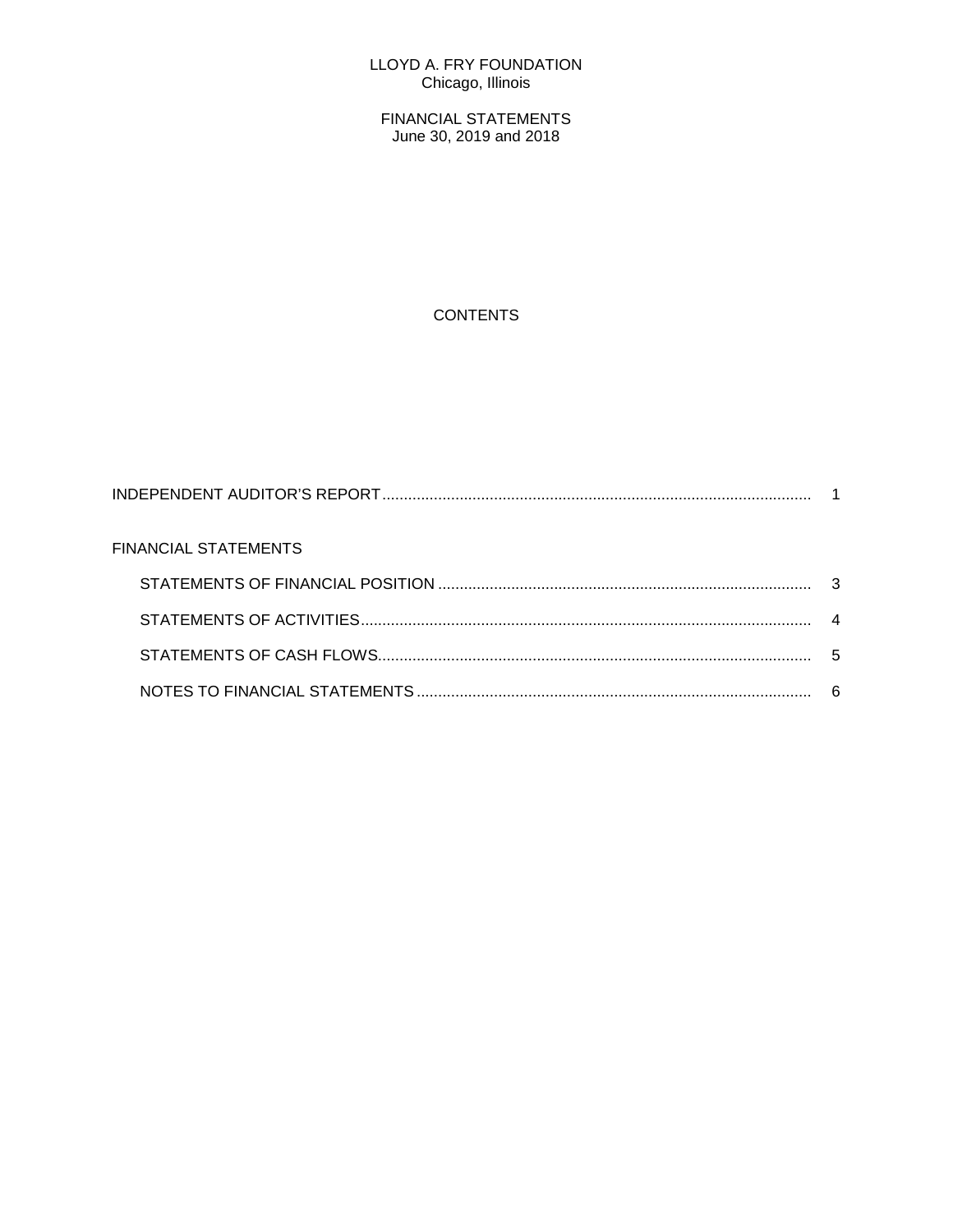## LLOYD A. FRY FOUNDATION Chicago, Illinois

FINANCIAL STATEMENTS June 30, 2019 and 2018

# **CONTENTS**

| FINANCIAL STATEMENTS |     |
|----------------------|-----|
|                      |     |
|                      |     |
|                      | - 5 |
|                      |     |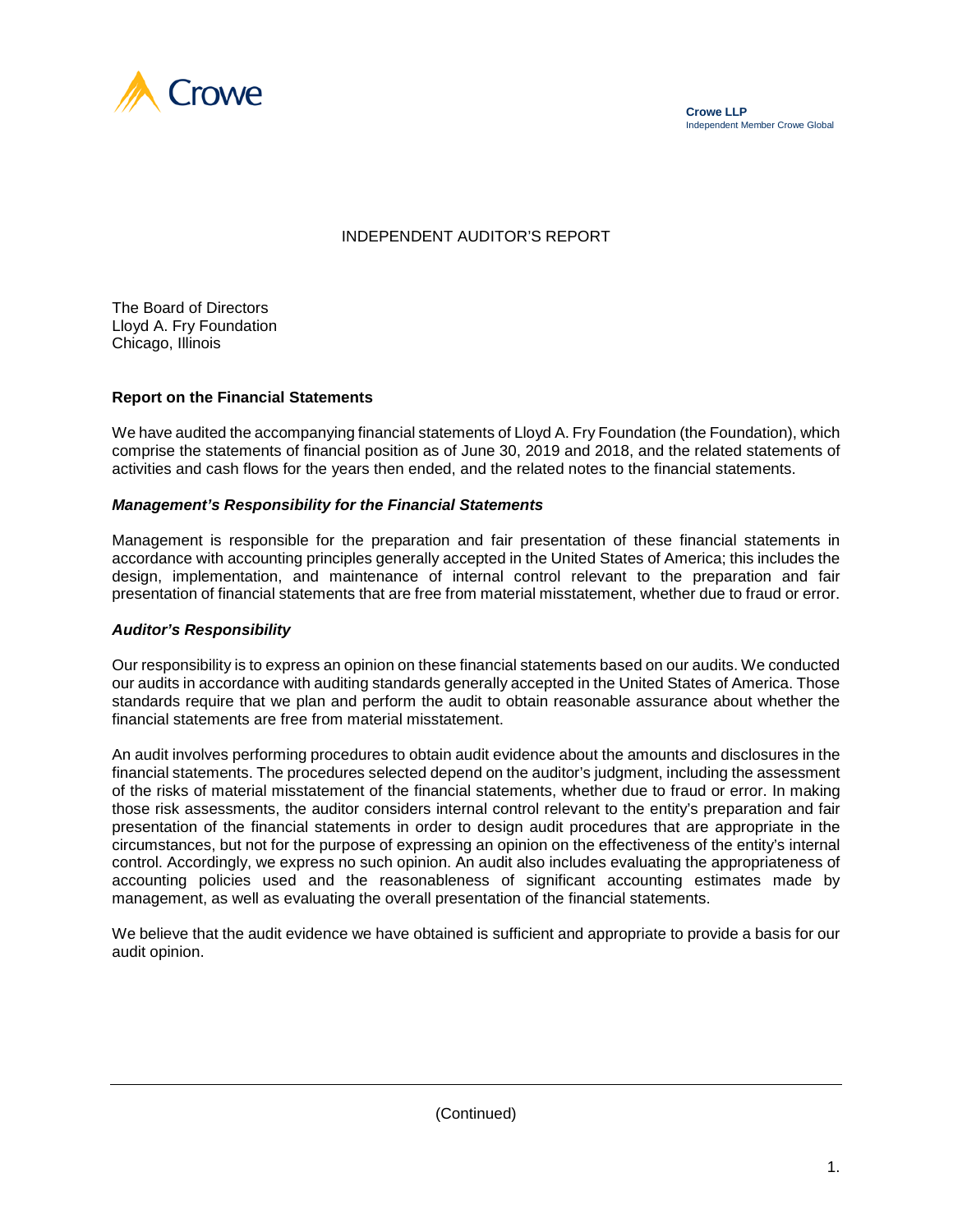



# INDEPENDENT AUDITOR'S REPORT

The Board of Directors Lloyd A. Fry Foundation Chicago, Illinois

#### **Report on the Financial Statements**

We have audited the accompanying financial statements of Lloyd A. Fry Foundation (the Foundation), which comprise the statements of financial position as of June 30, 2019 and 2018, and the related statements of activities and cash flows for the years then ended, and the related notes to the financial statements.

#### *Management's Responsibility for the Financial Statements*

Management is responsible for the preparation and fair presentation of these financial statements in accordance with accounting principles generally accepted in the United States of America; this includes the design, implementation, and maintenance of internal control relevant to the preparation and fair presentation of financial statements that are free from material misstatement, whether due to fraud or error.

#### *Auditor's Responsibility*

Our responsibility is to express an opinion on these financial statements based on our audits. We conducted our audits in accordance with auditing standards generally accepted in the United States of America. Those standards require that we plan and perform the audit to obtain reasonable assurance about whether the financial statements are free from material misstatement.

An audit involves performing procedures to obtain audit evidence about the amounts and disclosures in the financial statements. The procedures selected depend on the auditor's judgment, including the assessment of the risks of material misstatement of the financial statements, whether due to fraud or error. In making those risk assessments, the auditor considers internal control relevant to the entity's preparation and fair presentation of the financial statements in order to design audit procedures that are appropriate in the circumstances, but not for the purpose of expressing an opinion on the effectiveness of the entity's internal control. Accordingly, we express no such opinion. An audit also includes evaluating the appropriateness of accounting policies used and the reasonableness of significant accounting estimates made by management, as well as evaluating the overall presentation of the financial statements.

We believe that the audit evidence we have obtained is sufficient and appropriate to provide a basis for our audit opinion.

(Continued)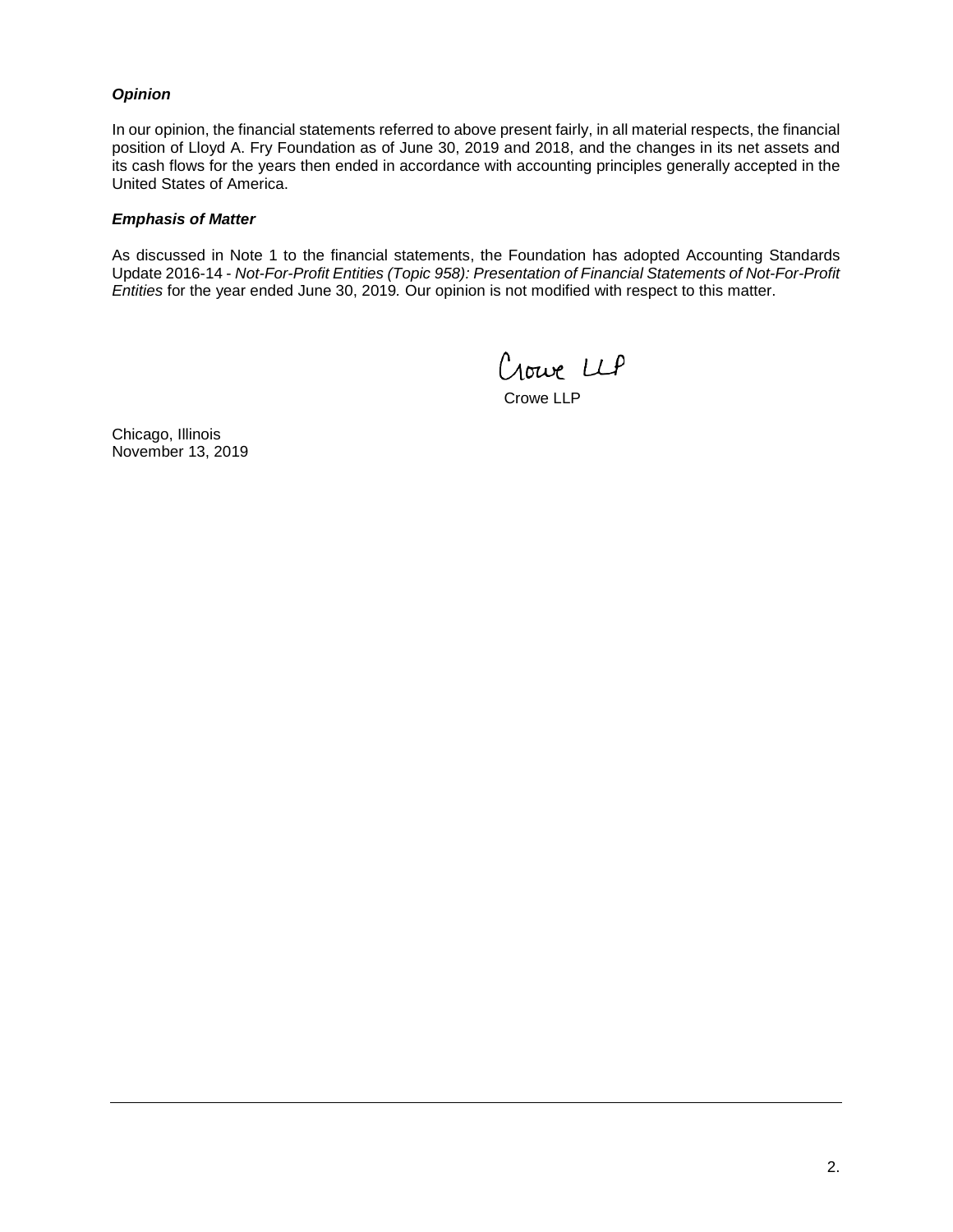## *Opinion*

In our opinion, the financial statements referred to above present fairly, in all material respects, the financial position of Lloyd A. Fry Foundation as of June 30, 2019 and 2018, and the changes in its net assets and its cash flows for the years then ended in accordance with accounting principles generally accepted in the United States of America.

#### *Emphasis of Matter*

As discussed in Note 1 to the financial statements, the Foundation has adopted Accounting Standards Update 2016-14 - *Not-For-Profit Entities (Topic 958): Presentation of Financial Statements of Not-For-Profit Entities* for the year ended June 30, 2019*.* Our opinion is not modified with respect to this matter.

Crowe LLP

Crowe LLP

Chicago, Illinois November 13, 2019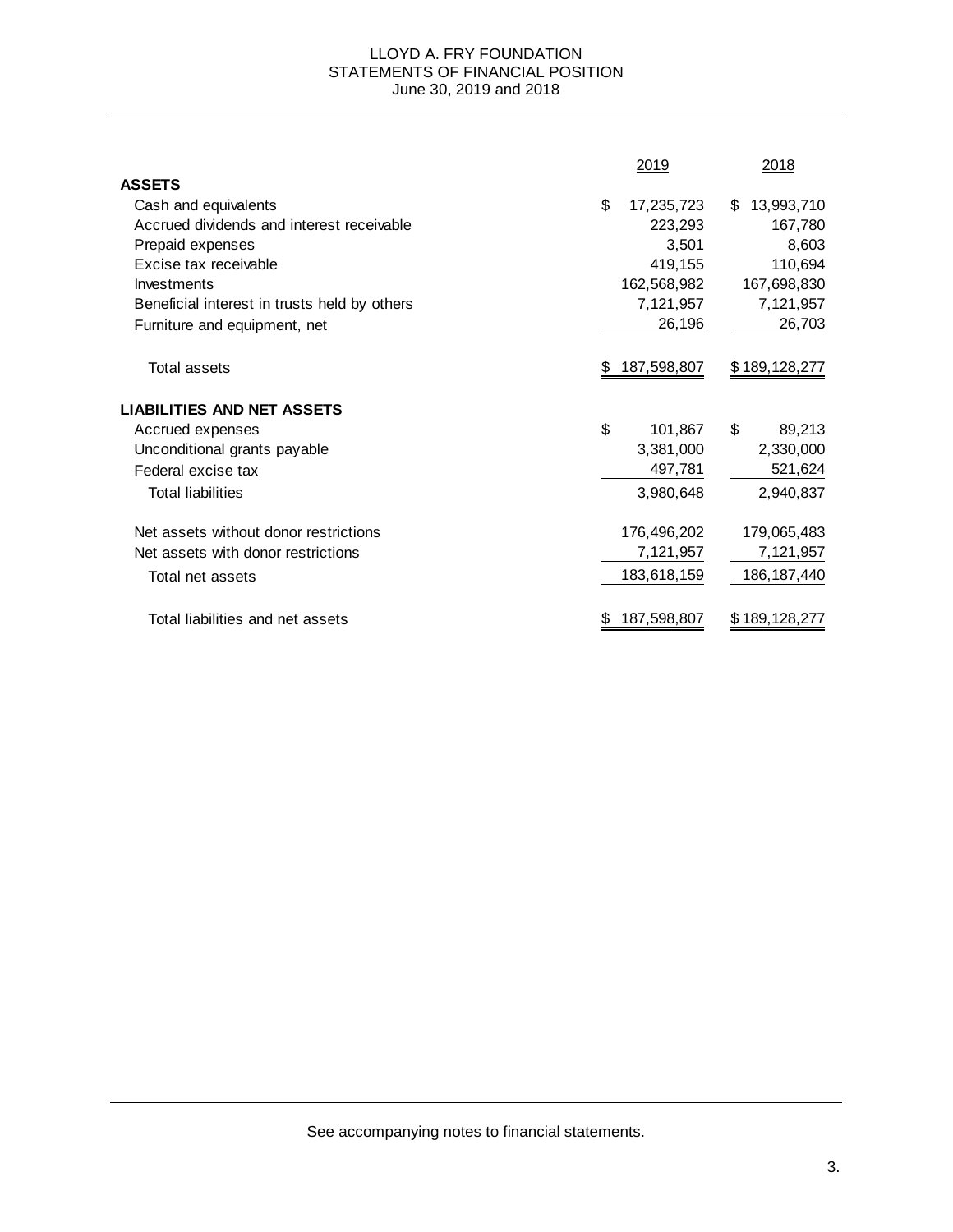#### LLOYD A. FRY FOUNDATION STATEMENTS OF FINANCIAL POSITION June 30, 2019 and 2018

|                                              |    | 2019        | 2018             |
|----------------------------------------------|----|-------------|------------------|
| <b>ASSETS</b>                                |    |             |                  |
| Cash and equivalents                         | \$ | 17,235,723  | 13,993,710<br>\$ |
| Accrued dividends and interest receivable    |    | 223,293     | 167,780          |
| Prepaid expenses                             |    | 3,501       | 8,603            |
| Excise tax receivable                        |    | 419,155     | 110,694          |
| Investments                                  |    | 162,568,982 | 167,698,830      |
| Beneficial interest in trusts held by others |    | 7,121,957   | 7,121,957        |
| Furniture and equipment, net                 |    | 26,196      | 26,703           |
| Total assets                                 | æ. | 187,598,807 | \$189,128,277    |
| <b>LIABILITIES AND NET ASSETS</b>            |    |             |                  |
| Accrued expenses                             | \$ | 101,867     | \$<br>89,213     |
| Unconditional grants payable                 |    | 3,381,000   | 2,330,000        |
| Federal excise tax                           |    | 497,781     | 521,624          |
| <b>Total liabilities</b>                     |    | 3,980,648   | 2,940,837        |
| Net assets without donor restrictions        |    | 176,496,202 | 179,065,483      |
| Net assets with donor restrictions           |    | 7,121,957   | 7,121,957        |
| Total net assets                             |    | 183,618,159 | 186, 187, 440    |
| Total liabilities and net assets             | Ж  | 187,598,807 | \$189,128,277    |

See accompanying notes to financial statements.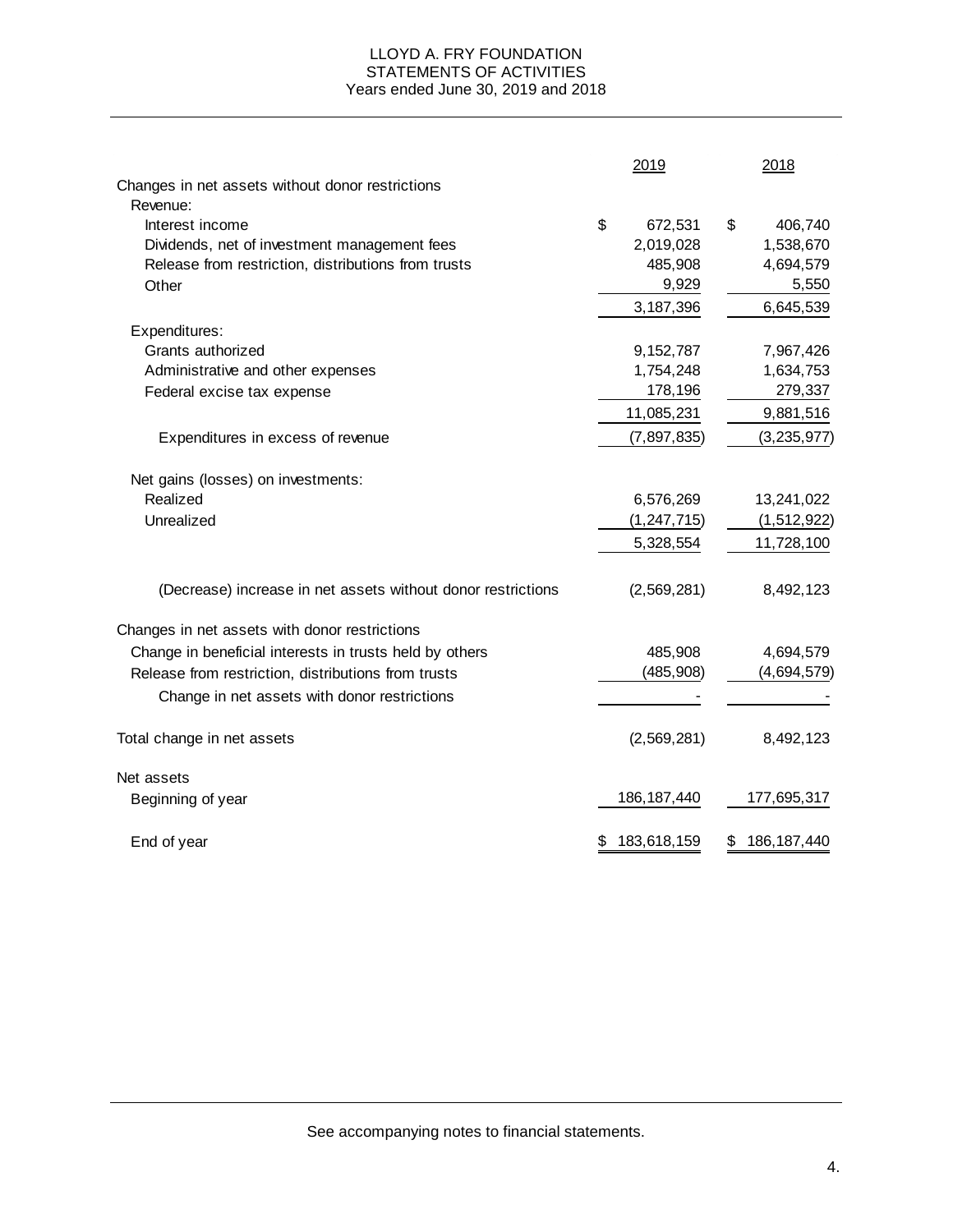#### LLOYD A. FRY FOUNDATION STATEMENTS OF ACTIVITIES Years ended June 30, 2019 and 2018

|                                                              | 2019              | 2018                |
|--------------------------------------------------------------|-------------------|---------------------|
| Changes in net assets without donor restrictions             |                   |                     |
| Revenue:                                                     |                   |                     |
| Interest income                                              | \$<br>672,531     | \$<br>406,740       |
| Dividends, net of investment management fees                 | 2,019,028         | 1,538,670           |
| Release from restriction, distributions from trusts          | 485,908           | 4,694,579           |
| Other                                                        | 9,929             | 5,550               |
|                                                              | 3,187,396         | 6,645,539           |
| Expenditures:                                                |                   |                     |
| Grants authorized                                            | 9,152,787         | 7,967,426           |
| Administrative and other expenses                            | 1,754,248         | 1,634,753           |
| Federal excise tax expense                                   | 178,196           | 279,337             |
|                                                              | 11,085,231        | 9,881,516           |
| Expenditures in excess of revenue                            | (7, 897, 835)     | (3, 235, 977)       |
| Net gains (losses) on investments:                           |                   |                     |
| Realized                                                     | 6,576,269         | 13,241,022          |
| Unrealized                                                   | (1, 247, 715)     | (1, 512, 922)       |
|                                                              | 5,328,554         | 11,728,100          |
| (Decrease) increase in net assets without donor restrictions | (2,569,281)       | 8,492,123           |
| Changes in net assets with donor restrictions                |                   |                     |
| Change in beneficial interests in trusts held by others      | 485,908           | 4,694,579           |
| Release from restriction, distributions from trusts          | (485, 908)        | (4,694,579)         |
| Change in net assets with donor restrictions                 |                   |                     |
| Total change in net assets                                   | (2,569,281)       | 8,492,123           |
| Net assets                                                   |                   |                     |
| Beginning of year                                            | 186, 187, 440     | 177,695,317         |
| End of year                                                  | \$<br>183,618,159 | \$<br>186, 187, 440 |

See accompanying notes to financial statements.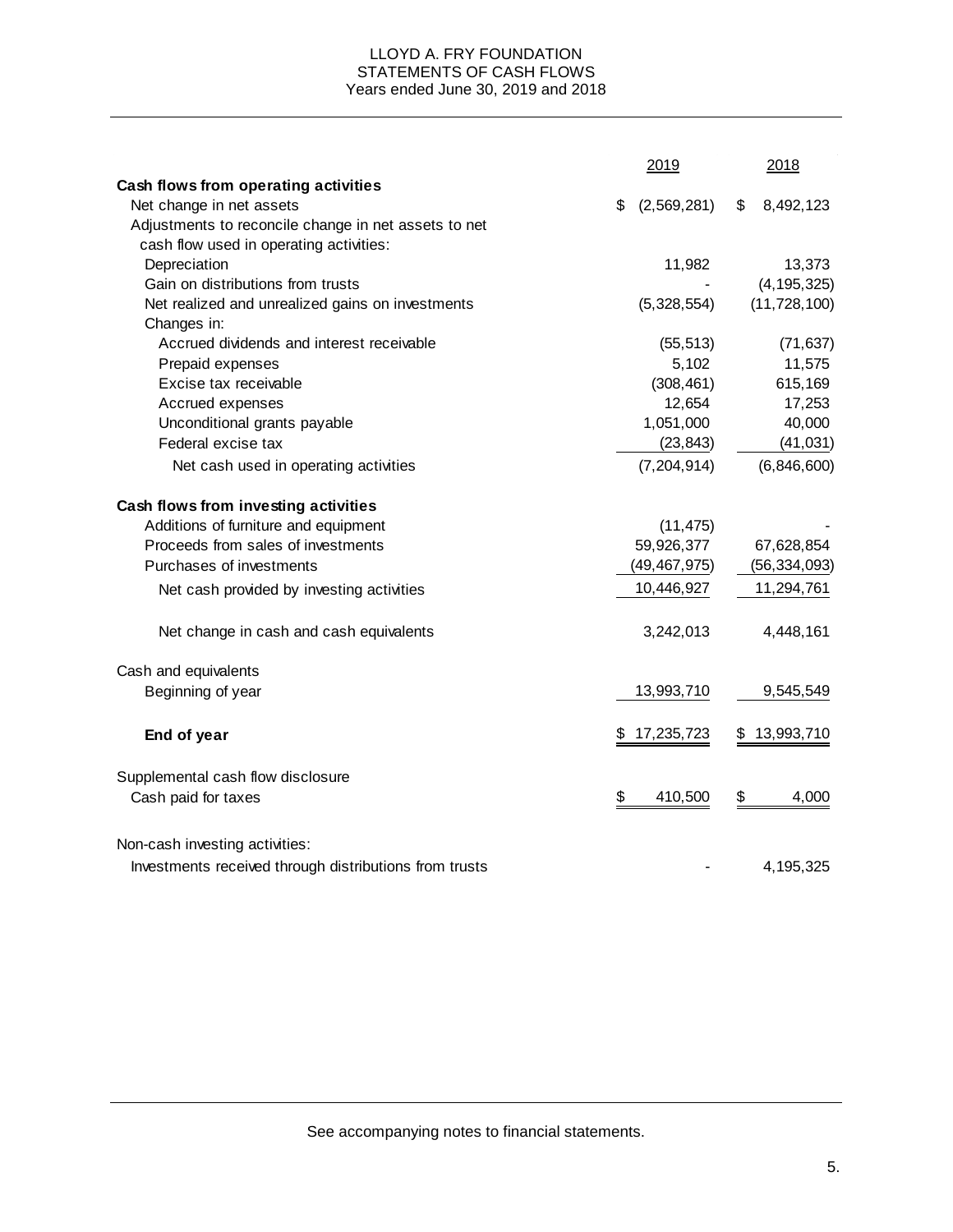#### LLOYD A. FRY FOUNDATION STATEMENTS OF CASH FLOWS Years ended June 30, 2019 and 2018

| Cash flows from operating activities<br>Net change in net assets<br>(2,569,281)<br>8,492,123<br>\$<br>S<br>Adjustments to reconcile change in net assets to net<br>cash flow used in operating activities:<br>Depreciation<br>11,982<br>Gain on distributions from trusts<br>(4, 195, 325)<br>Net realized and unrealized gains on investments<br>(11, 728, 100)<br>(5,328,554)<br>Changes in:<br>Accrued dividends and interest receivable<br>(55, 513)<br>5,102<br>Prepaid expenses |           |
|---------------------------------------------------------------------------------------------------------------------------------------------------------------------------------------------------------------------------------------------------------------------------------------------------------------------------------------------------------------------------------------------------------------------------------------------------------------------------------------|-----------|
|                                                                                                                                                                                                                                                                                                                                                                                                                                                                                       |           |
|                                                                                                                                                                                                                                                                                                                                                                                                                                                                                       |           |
|                                                                                                                                                                                                                                                                                                                                                                                                                                                                                       |           |
|                                                                                                                                                                                                                                                                                                                                                                                                                                                                                       |           |
|                                                                                                                                                                                                                                                                                                                                                                                                                                                                                       | 13,373    |
|                                                                                                                                                                                                                                                                                                                                                                                                                                                                                       |           |
|                                                                                                                                                                                                                                                                                                                                                                                                                                                                                       |           |
|                                                                                                                                                                                                                                                                                                                                                                                                                                                                                       |           |
|                                                                                                                                                                                                                                                                                                                                                                                                                                                                                       | (71, 637) |
|                                                                                                                                                                                                                                                                                                                                                                                                                                                                                       | 11,575    |
| Excise tax receivable<br>(308, 461)                                                                                                                                                                                                                                                                                                                                                                                                                                                   | 615,169   |
| Accrued expenses<br>12,654                                                                                                                                                                                                                                                                                                                                                                                                                                                            | 17,253    |
| Unconditional grants payable<br>1,051,000                                                                                                                                                                                                                                                                                                                                                                                                                                             | 40,000    |
| Federal excise tax<br>(23, 843)                                                                                                                                                                                                                                                                                                                                                                                                                                                       | (41, 031) |
| (6,846,600)<br>Net cash used in operating activities<br>(7, 204, 914)                                                                                                                                                                                                                                                                                                                                                                                                                 |           |
| Cash flows from investing activities                                                                                                                                                                                                                                                                                                                                                                                                                                                  |           |
| Additions of furniture and equipment<br>(11, 475)                                                                                                                                                                                                                                                                                                                                                                                                                                     |           |
| Proceeds from sales of investments<br>59,926,377<br>67,628,854                                                                                                                                                                                                                                                                                                                                                                                                                        |           |
| (49, 467, 975)<br>Purchases of investments<br>(56, 334, 093)                                                                                                                                                                                                                                                                                                                                                                                                                          |           |
| 10,446,927<br>11,294,761<br>Net cash provided by investing activities                                                                                                                                                                                                                                                                                                                                                                                                                 |           |
| Net change in cash and cash equivalents<br>3,242,013<br>4,448,161                                                                                                                                                                                                                                                                                                                                                                                                                     |           |
| Cash and equivalents                                                                                                                                                                                                                                                                                                                                                                                                                                                                  |           |
| 9,545,549<br>13,993,710<br>Beginning of year                                                                                                                                                                                                                                                                                                                                                                                                                                          |           |
| \$<br>17,235,723<br>\$<br>13,993,710<br>End of year                                                                                                                                                                                                                                                                                                                                                                                                                                   |           |
| Supplemental cash flow disclosure                                                                                                                                                                                                                                                                                                                                                                                                                                                     |           |
| \$<br>\$<br>410,500<br>Cash paid for taxes                                                                                                                                                                                                                                                                                                                                                                                                                                            | 4,000     |
| Non-cash investing activities:                                                                                                                                                                                                                                                                                                                                                                                                                                                        |           |
| Investments received through distributions from trusts<br>4,195,325                                                                                                                                                                                                                                                                                                                                                                                                                   |           |

See accompanying notes to financial statements.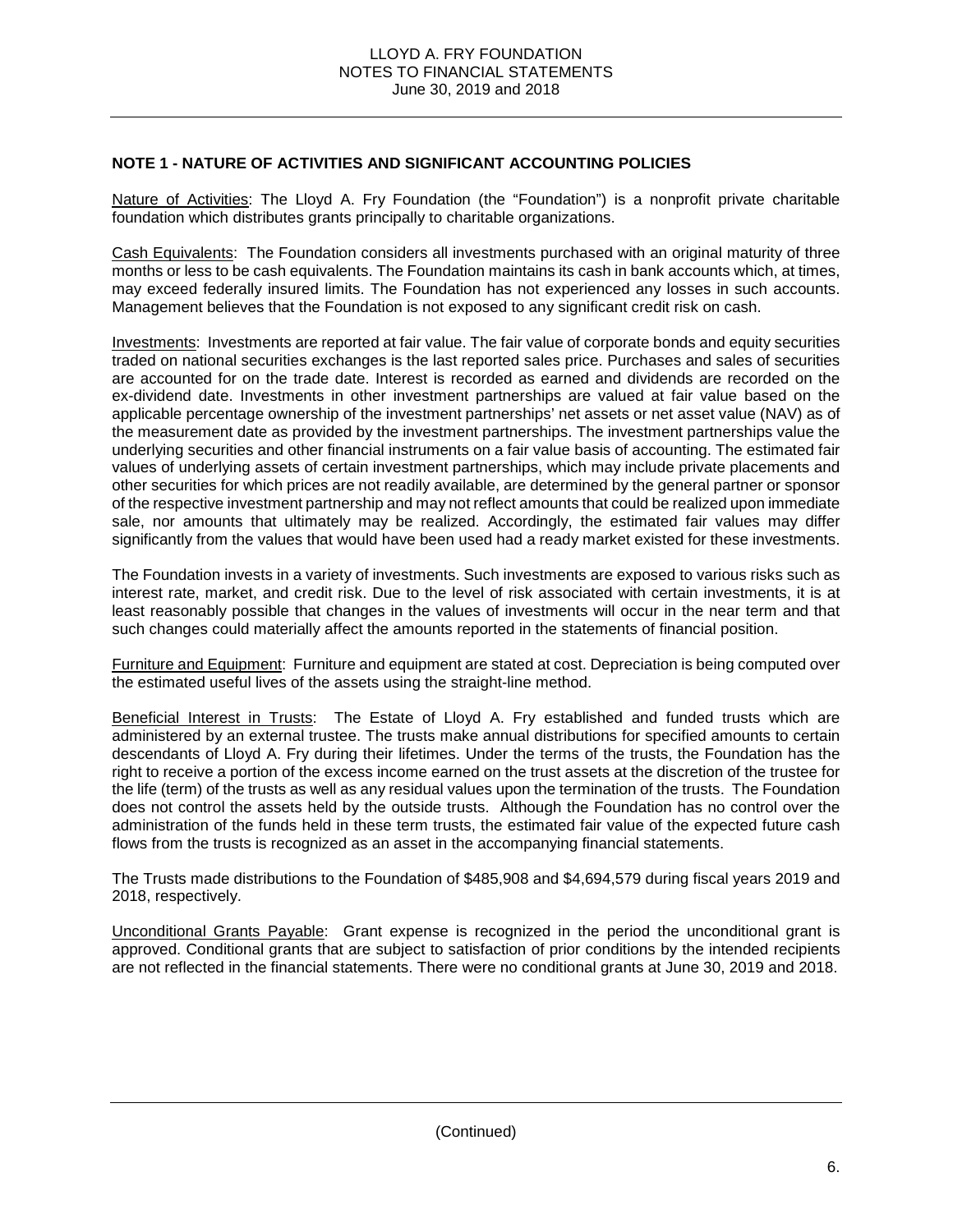# **NOTE 1 - NATURE OF ACTIVITIES AND SIGNIFICANT ACCOUNTING POLICIES**

Nature of Activities: The Lloyd A. Fry Foundation (the "Foundation") is a nonprofit private charitable foundation which distributes grants principally to charitable organizations.

Cash Equivalents: The Foundation considers all investments purchased with an original maturity of three months or less to be cash equivalents. The Foundation maintains its cash in bank accounts which, at times, may exceed federally insured limits. The Foundation has not experienced any losses in such accounts. Management believes that the Foundation is not exposed to any significant credit risk on cash.

Investments: Investments are reported at fair value. The fair value of corporate bonds and equity securities traded on national securities exchanges is the last reported sales price. Purchases and sales of securities are accounted for on the trade date. Interest is recorded as earned and dividends are recorded on the ex-dividend date. Investments in other investment partnerships are valued at fair value based on the applicable percentage ownership of the investment partnerships' net assets or net asset value (NAV) as of the measurement date as provided by the investment partnerships. The investment partnerships value the underlying securities and other financial instruments on a fair value basis of accounting. The estimated fair values of underlying assets of certain investment partnerships, which may include private placements and other securities for which prices are not readily available, are determined by the general partner or sponsor of the respective investment partnership and may not reflect amounts that could be realized upon immediate sale, nor amounts that ultimately may be realized. Accordingly, the estimated fair values may differ significantly from the values that would have been used had a ready market existed for these investments.

The Foundation invests in a variety of investments. Such investments are exposed to various risks such as interest rate, market, and credit risk. Due to the level of risk associated with certain investments, it is at least reasonably possible that changes in the values of investments will occur in the near term and that such changes could materially affect the amounts reported in the statements of financial position.

Furniture and Equipment: Furniture and equipment are stated at cost. Depreciation is being computed over the estimated useful lives of the assets using the straight-line method.

Beneficial Interest in Trusts: The Estate of Lloyd A. Fry established and funded trusts which are administered by an external trustee. The trusts make annual distributions for specified amounts to certain descendants of Lloyd A. Fry during their lifetimes. Under the terms of the trusts, the Foundation has the right to receive a portion of the excess income earned on the trust assets at the discretion of the trustee for the life (term) of the trusts as well as any residual values upon the termination of the trusts. The Foundation does not control the assets held by the outside trusts. Although the Foundation has no control over the administration of the funds held in these term trusts, the estimated fair value of the expected future cash flows from the trusts is recognized as an asset in the accompanying financial statements.

The Trusts made distributions to the Foundation of \$485,908 and \$4,694,579 during fiscal years 2019 and 2018, respectively.

Unconditional Grants Payable: Grant expense is recognized in the period the unconditional grant is approved. Conditional grants that are subject to satisfaction of prior conditions by the intended recipients are not reflected in the financial statements. There were no conditional grants at June 30, 2019 and 2018.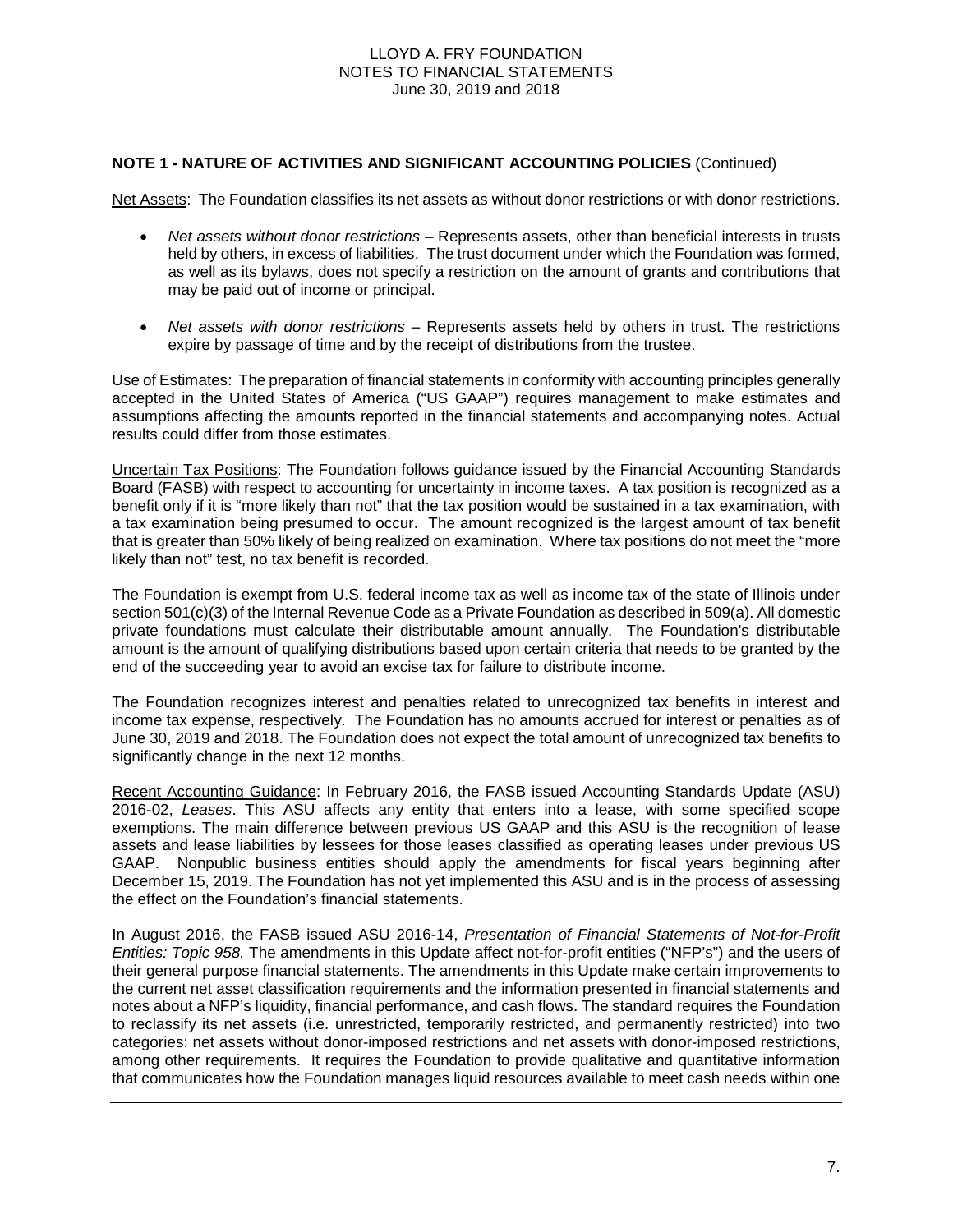#### **NOTE 1 - NATURE OF ACTIVITIES AND SIGNIFICANT ACCOUNTING POLICIES** (Continued)

Net Assets: The Foundation classifies its net assets as without donor restrictions or with donor restrictions.

- *Net assets without donor restrictions* Represents assets, other than beneficial interests in trusts held by others, in excess of liabilities. The trust document under which the Foundation was formed, as well as its bylaws, does not specify a restriction on the amount of grants and contributions that may be paid out of income or principal.
- *Net assets with donor restrictions* Represents assets held by others in trust. The restrictions expire by passage of time and by the receipt of distributions from the trustee.

Use of Estimates: The preparation of financial statements in conformity with accounting principles generally accepted in the United States of America ("US GAAP") requires management to make estimates and assumptions affecting the amounts reported in the financial statements and accompanying notes. Actual results could differ from those estimates.

Uncertain Tax Positions: The Foundation follows guidance issued by the Financial Accounting Standards Board (FASB) with respect to accounting for uncertainty in income taxes. A tax position is recognized as a benefit only if it is "more likely than not" that the tax position would be sustained in a tax examination, with a tax examination being presumed to occur. The amount recognized is the largest amount of tax benefit that is greater than 50% likely of being realized on examination. Where tax positions do not meet the "more likely than not" test, no tax benefit is recorded.

The Foundation is exempt from U.S. federal income tax as well as income tax of the state of Illinois under section 501(c)(3) of the Internal Revenue Code as a Private Foundation as described in 509(a). All domestic private foundations must calculate their distributable amount annually. The Foundation's distributable amount is the amount of qualifying distributions based upon certain criteria that needs to be granted by the end of the succeeding year to avoid an excise tax for failure to distribute income.

The Foundation recognizes interest and penalties related to unrecognized tax benefits in interest and income tax expense, respectively. The Foundation has no amounts accrued for interest or penalties as of June 30, 2019 and 2018. The Foundation does not expect the total amount of unrecognized tax benefits to significantly change in the next 12 months.

Recent Accounting Guidance: In February 2016, the FASB issued Accounting Standards Update (ASU) 2016-02, *Leases*. This ASU affects any entity that enters into a lease, with some specified scope exemptions. The main difference between previous US GAAP and this ASU is the recognition of lease assets and lease liabilities by lessees for those leases classified as operating leases under previous US GAAP. Nonpublic business entities should apply the amendments for fiscal years beginning after December 15, 2019. The Foundation has not yet implemented this ASU and is in the process of assessing the effect on the Foundation's financial statements.

In August 2016, the FASB issued ASU 2016-14, *Presentation of Financial Statements of Not-for-Profit Entities: Topic 958.* The amendments in this Update affect not-for-profit entities ("NFP's") and the users of their general purpose financial statements. The amendments in this Update make certain improvements to the current net asset classification requirements and the information presented in financial statements and notes about a NFP's liquidity, financial performance, and cash flows. The standard requires the Foundation to reclassify its net assets (i.e. unrestricted, temporarily restricted, and permanently restricted) into two categories: net assets without donor-imposed restrictions and net assets with donor-imposed restrictions, among other requirements. It requires the Foundation to provide qualitative and quantitative information that communicates how the Foundation manages liquid resources available to meet cash needs within one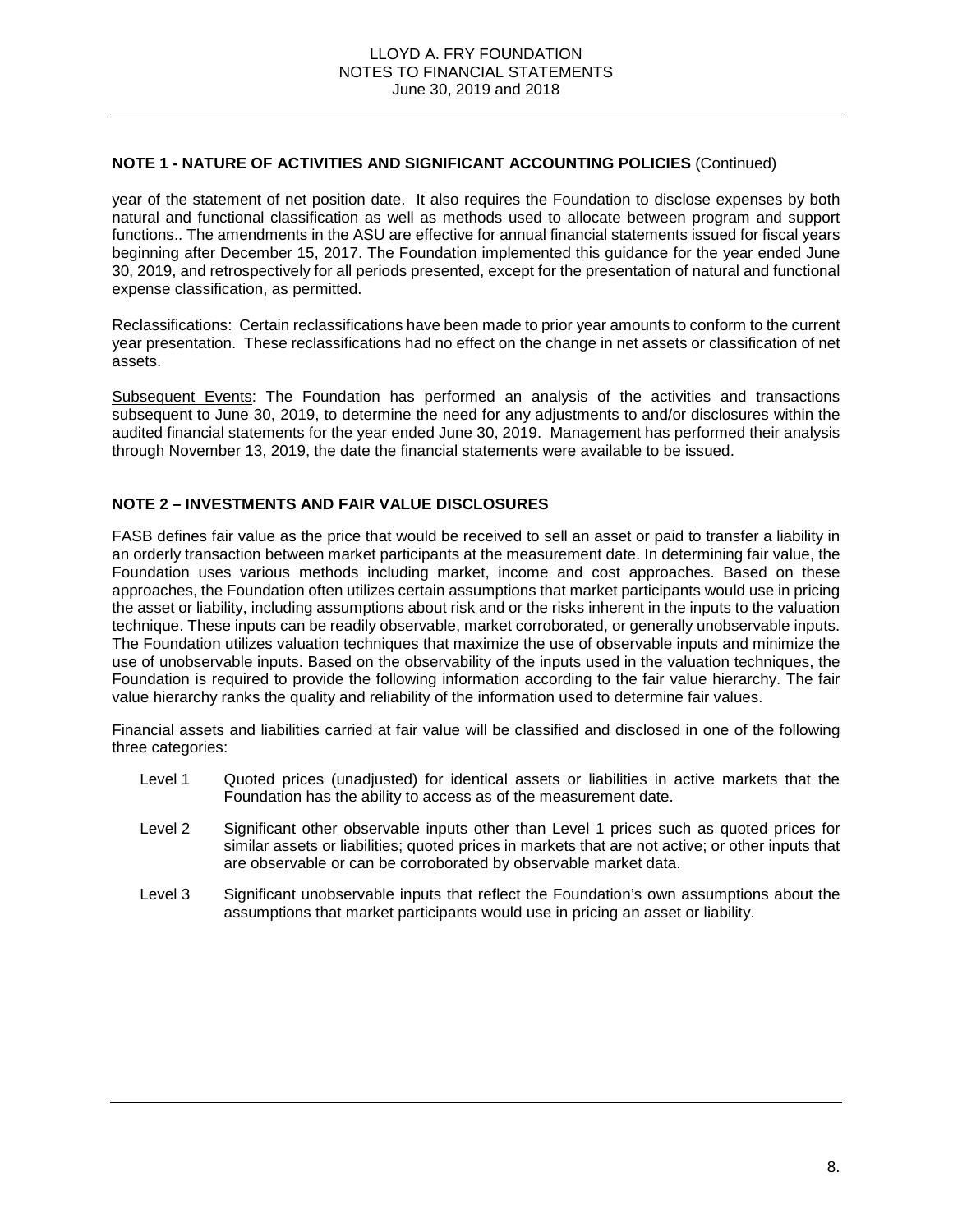#### **NOTE 1 - NATURE OF ACTIVITIES AND SIGNIFICANT ACCOUNTING POLICIES** (Continued)

year of the statement of net position date. It also requires the Foundation to disclose expenses by both natural and functional classification as well as methods used to allocate between program and support functions.. The amendments in the ASU are effective for annual financial statements issued for fiscal years beginning after December 15, 2017. The Foundation implemented this guidance for the year ended June 30, 2019, and retrospectively for all periods presented, except for the presentation of natural and functional expense classification, as permitted.

Reclassifications: Certain reclassifications have been made to prior year amounts to conform to the current year presentation. These reclassifications had no effect on the change in net assets or classification of net assets.

Subsequent Events: The Foundation has performed an analysis of the activities and transactions subsequent to June 30, 2019, to determine the need for any adjustments to and/or disclosures within the audited financial statements for the year ended June 30, 2019. Management has performed their analysis through November 13, 2019, the date the financial statements were available to be issued.

# **NOTE 2 – INVESTMENTS AND FAIR VALUE DISCLOSURES**

FASB defines fair value as the price that would be received to sell an asset or paid to transfer a liability in an orderly transaction between market participants at the measurement date. In determining fair value, the Foundation uses various methods including market, income and cost approaches. Based on these approaches, the Foundation often utilizes certain assumptions that market participants would use in pricing the asset or liability, including assumptions about risk and or the risks inherent in the inputs to the valuation technique. These inputs can be readily observable, market corroborated, or generally unobservable inputs. The Foundation utilizes valuation techniques that maximize the use of observable inputs and minimize the use of unobservable inputs. Based on the observability of the inputs used in the valuation techniques, the Foundation is required to provide the following information according to the fair value hierarchy. The fair value hierarchy ranks the quality and reliability of the information used to determine fair values.

Financial assets and liabilities carried at fair value will be classified and disclosed in one of the following three categories:

- Level 1 Quoted prices (unadjusted) for identical assets or liabilities in active markets that the Foundation has the ability to access as of the measurement date.
- Level 2 Significant other observable inputs other than Level 1 prices such as quoted prices for similar assets or liabilities; quoted prices in markets that are not active; or other inputs that are observable or can be corroborated by observable market data.
- Level 3 Significant unobservable inputs that reflect the Foundation's own assumptions about the assumptions that market participants would use in pricing an asset or liability.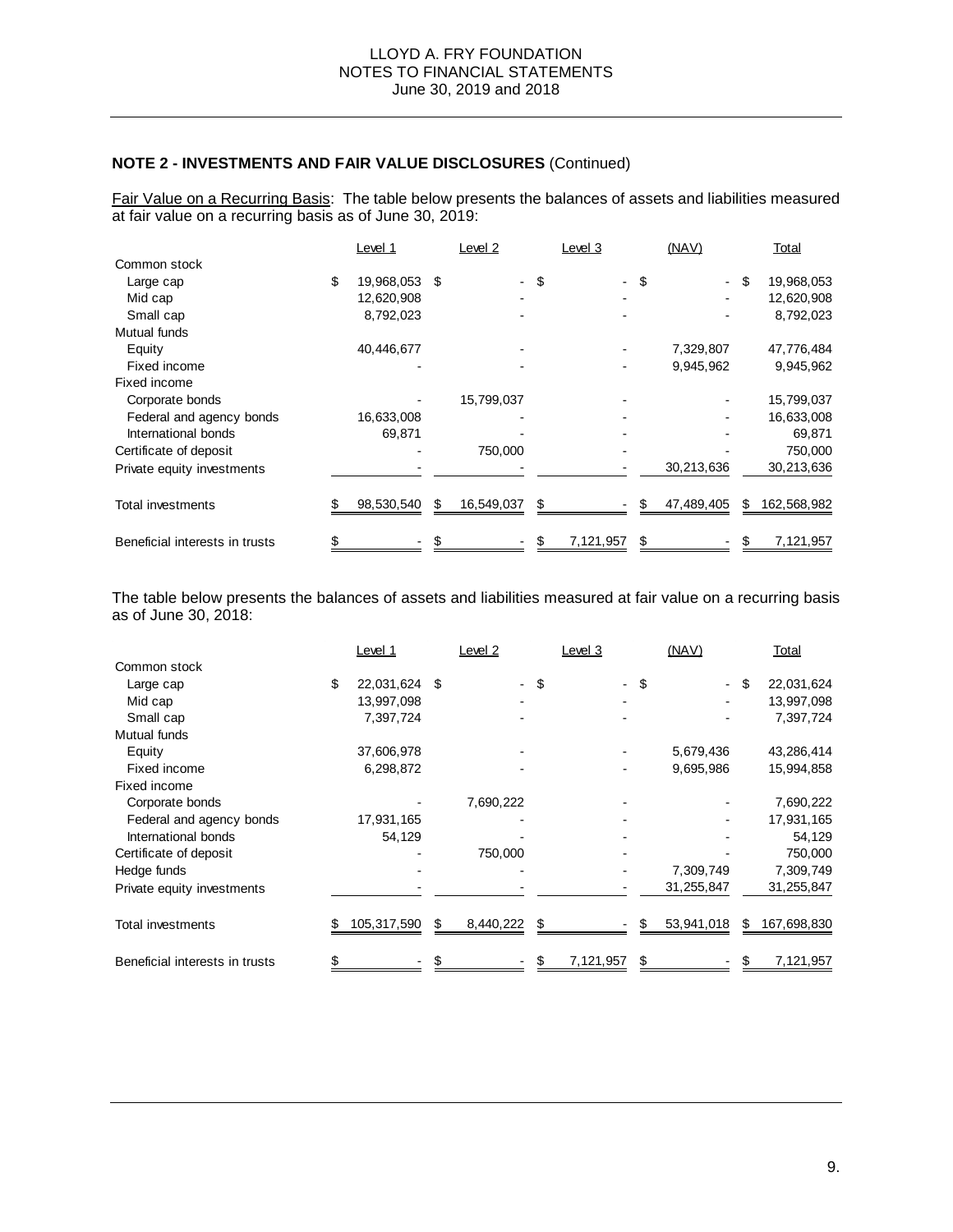Fair Value on a Recurring Basis: The table below presents the balances of assets and liabilities measured at fair value on a recurring basis as of June 30, 2019:

|                                | Level 1          |      | Level 2    |      | Level 3   |    | (NAV)                    |    | Total       |
|--------------------------------|------------------|------|------------|------|-----------|----|--------------------------|----|-------------|
| Common stock                   |                  |      |            |      |           |    |                          |    |             |
| Large cap                      | \$<br>19,968,053 | - \$ |            | - \$ |           | \$ | $\overline{\phantom{a}}$ | \$ | 19,968,053  |
| Mid cap                        | 12,620,908       |      |            |      |           |    |                          |    | 12,620,908  |
| Small cap                      | 8,792,023        |      |            |      |           |    |                          |    | 8,792,023   |
| Mutual funds                   |                  |      |            |      |           |    |                          |    |             |
| Equity                         | 40,446,677       |      |            |      |           |    | 7,329,807                |    | 47,776,484  |
| Fixed income                   |                  |      |            |      |           |    | 9,945,962                |    | 9,945,962   |
| Fixed income                   |                  |      |            |      |           |    |                          |    |             |
| Corporate bonds                |                  |      | 15,799,037 |      |           |    |                          |    | 15,799,037  |
| Federal and agency bonds       | 16,633,008       |      |            |      |           |    |                          |    | 16,633,008  |
| International bonds            | 69,871           |      |            |      |           |    |                          |    | 69,871      |
| Certificate of deposit         |                  |      | 750,000    |      |           |    |                          |    | 750,000     |
| Private equity investments     |                  |      |            |      |           |    | 30,213,636               |    | 30,213,636  |
|                                |                  |      |            |      |           |    |                          |    |             |
| Total investments              | 98,530,540       | S    | 16,549,037 | \$   |           | \$ | 47,489,405               | S  | 162,568,982 |
|                                |                  |      |            |      |           |    |                          |    |             |
| Beneficial interests in trusts |                  |      |            |      | 7,121,957 | S  |                          |    | 7,121,957   |

The table below presents the balances of assets and liabilities measured at fair value on a recurring basis as of June 30, 2018:

|                                | Level 1          |     | Level 2   | Level 3                        |    | (NAV)      | Total             |
|--------------------------------|------------------|-----|-----------|--------------------------------|----|------------|-------------------|
| Common stock                   |                  |     |           |                                |    |            |                   |
| Large cap                      | \$<br>22,031,624 | -\$ | $\sim$    | \$<br>$\overline{\phantom{0}}$ | \$ | ٠          | \$<br>22,031,624  |
| Mid cap                        | 13,997,098       |     |           |                                |    |            | 13,997,098        |
| Small cap                      | 7,397,724        |     |           |                                |    |            | 7,397,724         |
| Mutual funds                   |                  |     |           |                                |    |            |                   |
| Equity                         | 37,606,978       |     |           |                                |    | 5,679,436  | 43,286,414        |
| Fixed income                   | 6,298,872        |     |           |                                |    | 9,695,986  | 15,994,858        |
| Fixed income                   |                  |     |           |                                |    |            |                   |
| Corporate bonds                |                  |     | 7,690,222 |                                |    |            | 7,690,222         |
| Federal and agency bonds       | 17,931,165       |     |           |                                |    |            | 17,931,165        |
| International bonds            | 54,129           |     |           |                                |    |            | 54,129            |
| Certificate of deposit         |                  |     | 750,000   |                                |    |            | 750,000           |
| Hedge funds                    |                  |     |           |                                |    | 7,309,749  | 7,309,749         |
| Private equity investments     |                  |     |           |                                |    | 31,255,847 | 31,255,847        |
| Total investments              | 105,317,590      | \$  | 8,440,222 | \$                             | S  | 53,941,018 | \$<br>167,698,830 |
| Beneficial interests in trusts |                  |     |           | 7,121,957                      | \$ |            | 7,121,957         |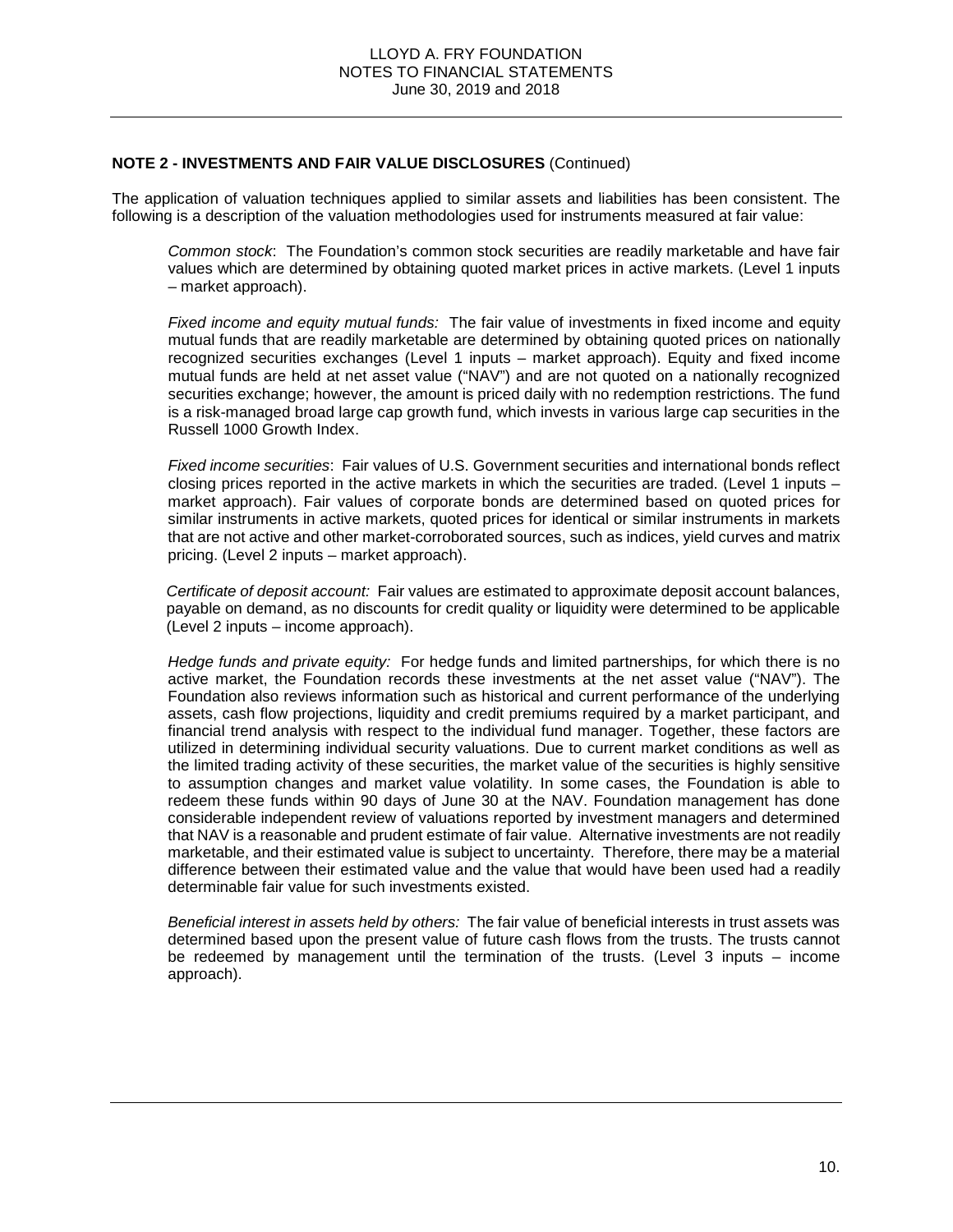The application of valuation techniques applied to similar assets and liabilities has been consistent. The following is a description of the valuation methodologies used for instruments measured at fair value:

*Common stock*: The Foundation's common stock securities are readily marketable and have fair values which are determined by obtaining quoted market prices in active markets. (Level 1 inputs – market approach).

*Fixed income and equity mutual funds:* The fair value of investments in fixed income and equity mutual funds that are readily marketable are determined by obtaining quoted prices on nationally recognized securities exchanges (Level 1 inputs – market approach). Equity and fixed income mutual funds are held at net asset value ("NAV") and are not quoted on a nationally recognized securities exchange; however, the amount is priced daily with no redemption restrictions. The fund is a risk-managed broad large cap growth fund, which invests in various large cap securities in the Russell 1000 Growth Index.

*Fixed income securities*: Fair values of U.S. Government securities and international bonds reflect closing prices reported in the active markets in which the securities are traded. (Level 1 inputs – market approach). Fair values of corporate bonds are determined based on quoted prices for similar instruments in active markets, quoted prices for identical or similar instruments in markets that are not active and other market-corroborated sources, such as indices, yield curves and matrix pricing. (Level 2 inputs – market approach).

*Certificate of deposit account:* Fair values are estimated to approximate deposit account balances, payable on demand, as no discounts for credit quality or liquidity were determined to be applicable (Level 2 inputs – income approach).

*Hedge funds and private equity:* For hedge funds and limited partnerships, for which there is no active market, the Foundation records these investments at the net asset value ("NAV"). The Foundation also reviews information such as historical and current performance of the underlying assets, cash flow projections, liquidity and credit premiums required by a market participant, and financial trend analysis with respect to the individual fund manager. Together, these factors are utilized in determining individual security valuations. Due to current market conditions as well as the limited trading activity of these securities, the market value of the securities is highly sensitive to assumption changes and market value volatility. In some cases, the Foundation is able to redeem these funds within 90 days of June 30 at the NAV. Foundation management has done considerable independent review of valuations reported by investment managers and determined that NAV is a reasonable and prudent estimate of fair value. Alternative investments are not readily marketable, and their estimated value is subject to uncertainty. Therefore, there may be a material difference between their estimated value and the value that would have been used had a readily determinable fair value for such investments existed.

*Beneficial interest in assets held by others:* The fair value of beneficial interests in trust assets was determined based upon the present value of future cash flows from the trusts. The trusts cannot be redeemed by management until the termination of the trusts. (Level 3 inputs – income approach).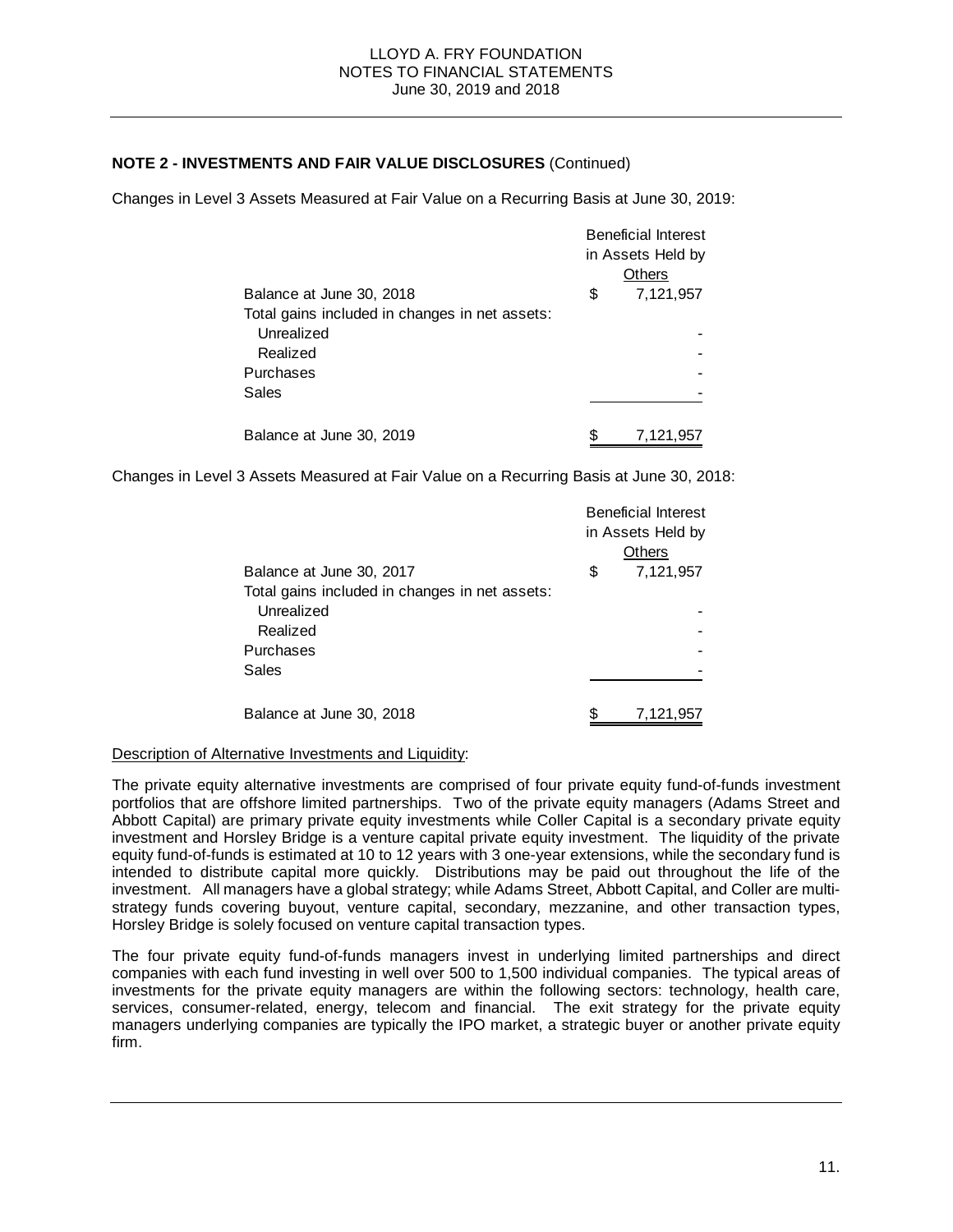Changes in Level 3 Assets Measured at Fair Value on a Recurring Basis at June 30, 2019:

|                                                | <b>Beneficial Interest</b> |               |  |
|------------------------------------------------|----------------------------|---------------|--|
|                                                | in Assets Held by          |               |  |
|                                                |                            | <b>Others</b> |  |
| Balance at June 30, 2018                       | \$                         | 7,121,957     |  |
| Total gains included in changes in net assets: |                            |               |  |
| Unrealized                                     |                            |               |  |
| Realized                                       |                            |               |  |
| Purchases                                      |                            |               |  |
| Sales                                          |                            |               |  |
|                                                |                            |               |  |
| Balance at June 30, 2019                       |                            | 7,121,957     |  |

Changes in Level 3 Assets Measured at Fair Value on a Recurring Basis at June 30, 2018:

|                                                | <b>Beneficial Interest</b> |                   |  |
|------------------------------------------------|----------------------------|-------------------|--|
|                                                |                            | in Assets Held by |  |
|                                                |                            | <b>Others</b>     |  |
| Balance at June 30, 2017                       | \$                         | 7,121,957         |  |
| Total gains included in changes in net assets: |                            |                   |  |
| Unrealized                                     |                            |                   |  |
| Realized                                       |                            |                   |  |
| Purchases                                      |                            |                   |  |
| Sales                                          |                            |                   |  |
|                                                |                            |                   |  |
| Balance at June 30, 2018                       | \$                         | 7,121,957         |  |

#### Description of Alternative Investments and Liquidity:

The private equity alternative investments are comprised of four private equity fund-of-funds investment portfolios that are offshore limited partnerships. Two of the private equity managers (Adams Street and Abbott Capital) are primary private equity investments while Coller Capital is a secondary private equity investment and Horsley Bridge is a venture capital private equity investment. The liquidity of the private equity fund-of-funds is estimated at 10 to 12 years with 3 one-year extensions, while the secondary fund is intended to distribute capital more quickly. Distributions may be paid out throughout the life of the investment. All managers have a global strategy; while Adams Street, Abbott Capital, and Coller are multistrategy funds covering buyout, venture capital, secondary, mezzanine, and other transaction types, Horsley Bridge is solely focused on venture capital transaction types.

The four private equity fund-of-funds managers invest in underlying limited partnerships and direct companies with each fund investing in well over 500 to 1,500 individual companies. The typical areas of investments for the private equity managers are within the following sectors: technology, health care, services, consumer-related, energy, telecom and financial. The exit strategy for the private equity managers underlying companies are typically the IPO market, a strategic buyer or another private equity firm.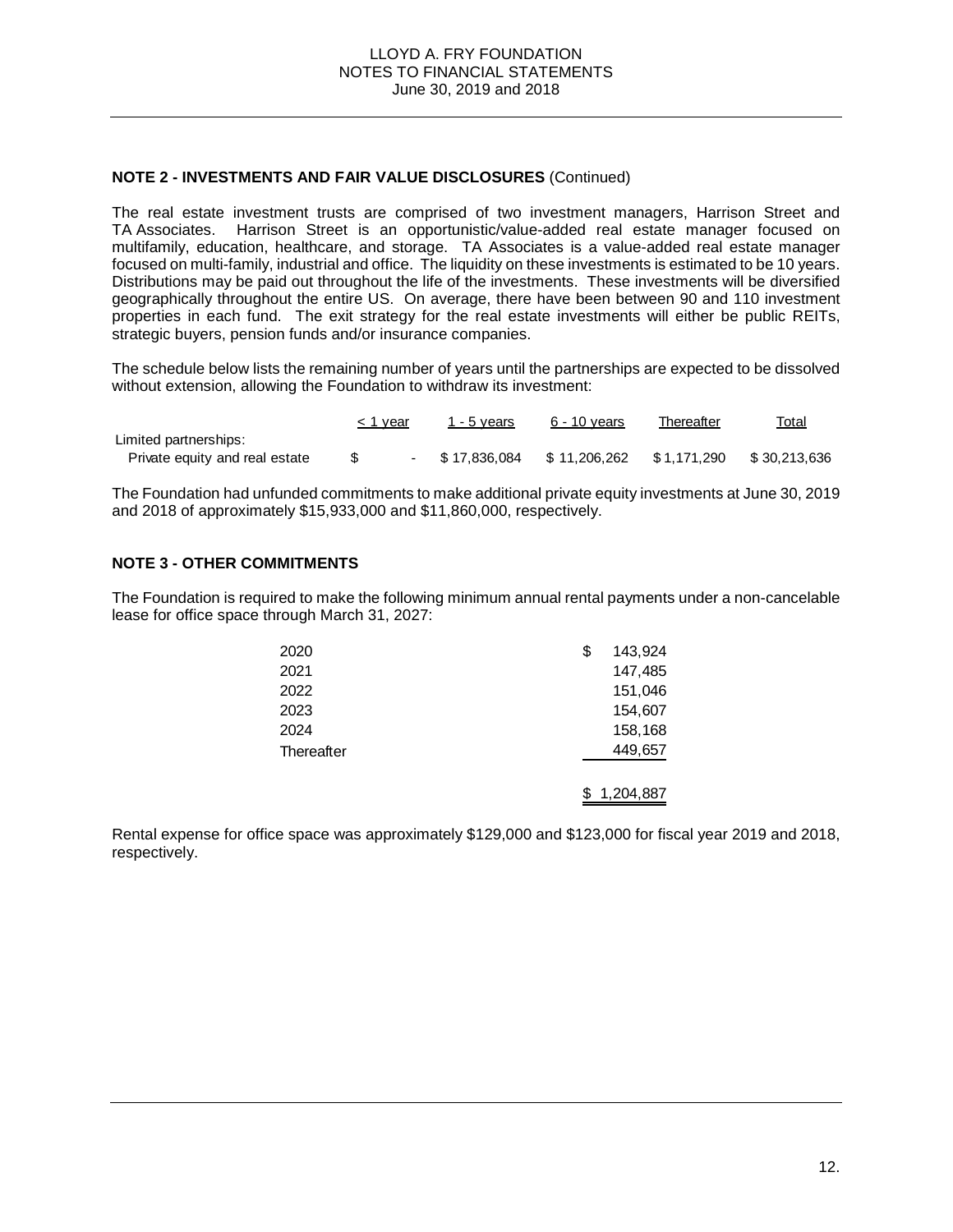The real estate investment trusts are comprised of two investment managers, Harrison Street and TA Associates. Harrison Street is an opportunistic/value-added real estate manager focused on multifamily, education, healthcare, and storage. TA Associates is a value-added real estate manager focused on multi-family, industrial and office. The liquidity on these investments is estimated to be 10 years. Distributions may be paid out throughout the life of the investments. These investments will be diversified geographically throughout the entire US. On average, there have been between 90 and 110 investment properties in each fund. The exit strategy for the real estate investments will either be public REITs, strategic buyers, pension funds and/or insurance companies.

The schedule below lists the remaining number of years until the partnerships are expected to be dissolved without extension, allowing the Foundation to withdraw its investment:

|                                | < 1 year | 1 - 5 years       | 6 - 10 years | Thereafter   | <u>Total</u> |
|--------------------------------|----------|-------------------|--------------|--------------|--------------|
| Limited partnerships:          |          |                   |              |              |              |
| Private equity and real estate |          | $-$ \$ 17.836.084 | \$11.206.262 | \$ 1.171.290 | \$30.213.636 |

The Foundation had unfunded commitments to make additional private equity investments at June 30, 2019 and 2018 of approximately \$15,933,000 and \$11,860,000, respectively.

#### **NOTE 3 - OTHER COMMITMENTS**

The Foundation is required to make the following minimum annual rental payments under a non-cancelable lease for office space through March 31, 2027:

| 2020       | \$<br>143,924 |
|------------|---------------|
| 2021       | 147,485       |
| 2022       | 151,046       |
| 2023       | 154,607       |
| 2024       | 158,168       |
| Thereafter | 449,657       |
|            | \$1,204,887   |

Rental expense for office space was approximately \$129,000 and \$123,000 for fiscal year 2019 and 2018, respectively.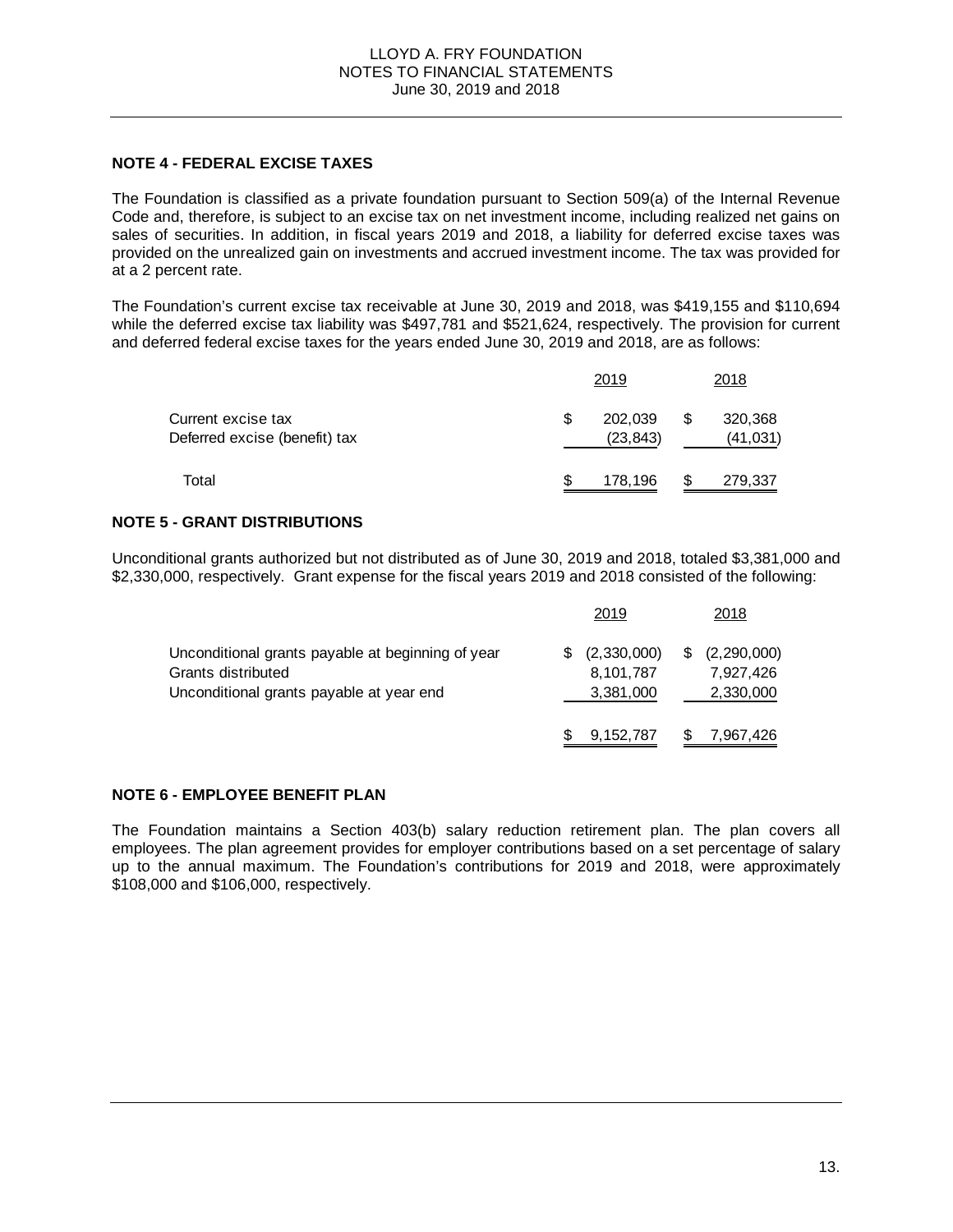#### **NOTE 4 - FEDERAL EXCISE TAXES**

The Foundation is classified as a private foundation pursuant to Section 509(a) of the Internal Revenue Code and, therefore, is subject to an excise tax on net investment income, including realized net gains on sales of securities. In addition, in fiscal years 2019 and 2018, a liability for deferred excise taxes was provided on the unrealized gain on investments and accrued investment income. The tax was provided for at a 2 percent rate.

The Foundation's current excise tax receivable at June 30, 2019 and 2018, was \$419,155 and \$110,694 while the deferred excise tax liability was \$497,781 and \$521,624, respectively. The provision for current and deferred federal excise taxes for the years ended June 30, 2019 and 2018, are as follows:

|                                                     |     | 2019                 |   | 2018                 |  |
|-----------------------------------------------------|-----|----------------------|---|----------------------|--|
| Current excise tax<br>Deferred excise (benefit) tax | \$. | 202,039<br>(23, 843) | S | 320,368<br>(41, 031) |  |
| Total                                               | S   | 178,196              | S | 279,337              |  |

#### **NOTE 5 - GRANT DISTRIBUTIONS**

Unconditional grants authorized but not distributed as of June 30, 2019 and 2018, totaled \$3,381,000 and \$2,330,000, respectively. Grant expense for the fiscal years 2019 and 2018 consisted of the following:

|                                                   | 2019        | 2018                |
|---------------------------------------------------|-------------|---------------------|
| Unconditional grants payable at beginning of year | (2,330,000) | \$<br>(2, 290, 000) |
| Grants distributed                                | 8,101,787   | 7,927,426           |
| Unconditional grants payable at year end          | 3,381,000   | 2,330,000           |
|                                                   | 9, 152, 787 | 7,967,426           |

# **NOTE 6 - EMPLOYEE BENEFIT PLAN**

The Foundation maintains a Section 403(b) salary reduction retirement plan. The plan covers all employees. The plan agreement provides for employer contributions based on a set percentage of salary up to the annual maximum. The Foundation's contributions for 2019 and 2018, were approximately \$108,000 and \$106,000, respectively.